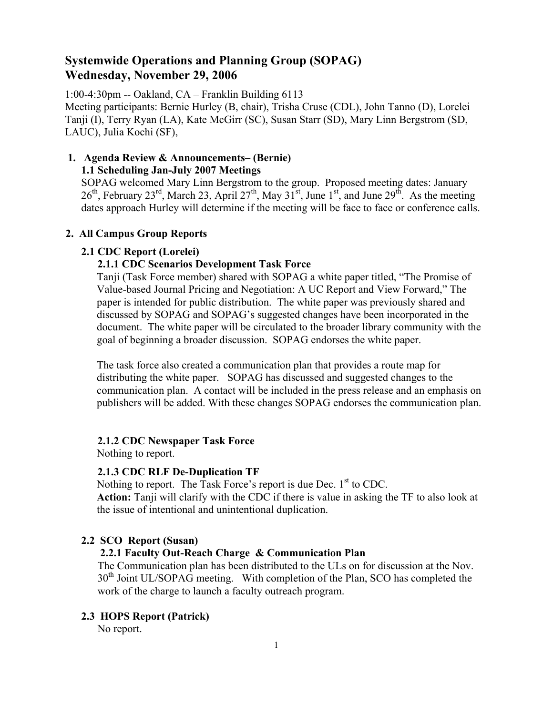# **Systemwide Operations and Planning Group (SOPAG) Wednesday, November 29, 2006**

1:00-4:30pm -- Oakland, CA – Franklin Building 6113 Meeting participants: Bernie Hurley (B, chair), Trisha Cruse (CDL), John Tanno (D), Lorelei Tanji (I), Terry Ryan (LA), Kate McGirr (SC), Susan Starr (SD), Mary Linn Bergstrom (SD, LAUC), Julia Kochi (SF),

## **1. Agenda Review & Announcements– (Bernie) 1.1 Scheduling Jan-July 2007 Meetings**

SOPAG welcomed Mary Linn Bergstrom to the group. Proposed meeting dates: January  $26<sup>th</sup>$ , February  $23<sup>rd</sup>$ , March 23, April  $27<sup>th</sup>$ , May  $31<sup>st</sup>$ , June  $1<sup>st</sup>$ , and June  $29<sup>th</sup>$ . As the meeting dates approach Hurley will determine if the meeting will be face to face or conference calls.

# **2. All Campus Group Reports**

## **2.1 CDC Report (Lorelei)**

## **2.1.1 CDC Scenarios Development Task Force**

Tanji (Task Force member) shared with SOPAG a white paper titled, "The Promise of Value-based Journal Pricing and Negotiation: A UC Report and View Forward," The paper is intended for public distribution. The white paper was previously shared and discussed by SOPAG and SOPAG's suggested changes have been incorporated in the document. The white paper will be circulated to the broader library community with the goal of beginning a broader discussion. SOPAG endorses the white paper.

The task force also created a communication plan that provides a route map for distributing the white paper. SOPAG has discussed and suggested changes to the communication plan. A contact will be included in the press release and an emphasis on publishers will be added. With these changes SOPAG endorses the communication plan.

## **2.1.2 CDC Newspaper Task Force**

Nothing to report.

## **2.1.3 CDC RLF De-Duplication TF**

Nothing to report. The Task Force's report is due Dec.  $1<sup>st</sup>$  to CDC.

**Action:** Tanji will clarify with the CDC if there is value in asking the TF to also look at the issue of intentional and unintentional duplication.

# **2.2 SCO Report (Susan)**

# **2.2.1 Faculty Out-Reach Charge & Communication Plan**

The Communication plan has been distributed to the ULs on for discussion at the Nov.  $30<sup>th</sup>$  Joint UL/SOPAG meeting. With completion of the Plan, SCO has completed the work of the charge to launch a faculty outreach program.

# **2.3 HOPS Report (Patrick)**

No report.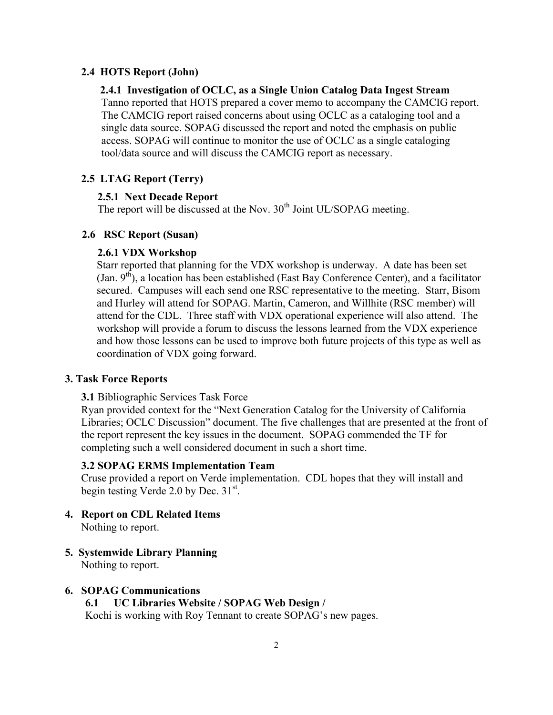### **2.4 HOTS Report (John)**

#### **2.4.1 Investigation of OCLC, as a Single Union Catalog Data Ingest Stream**

Tanno reported that HOTS prepared a cover memo to accompany the CAMCIG report. The CAMCIG report raised concerns about using OCLC as a cataloging tool and a single data source. SOPAG discussed the report and noted the emphasis on public access. SOPAG will continue to monitor the use of OCLC as a single cataloging tool/data source and will discuss the CAMCIG report as necessary.

### **2.5 LTAG Report (Terry)**

#### **2.5.1 Next Decade Report**

The report will be discussed at the Nov. 30<sup>th</sup> Joint UL/SOPAG meeting.

### **2.6 RSC Report (Susan)**

### **2.6.1 VDX Workshop**

Starr reported that planning for the VDX workshop is underway. A date has been set (Jan.  $9<sup>th</sup>$ ), a location has been established (East Bay Conference Center), and a facilitator secured. Campuses will each send one RSC representative to the meeting. Starr, Bisom and Hurley will attend for SOPAG. Martin, Cameron, and Willhite (RSC member) will attend for the CDL. Three staff with VDX operational experience will also attend. The workshop will provide a forum to discuss the lessons learned from the VDX experience and how those lessons can be used to improve both future projects of this type as well as coordination of VDX going forward.

#### **3. Task Force Reports**

**3.1** Bibliographic Services Task Force

Ryan provided context for the "Next Generation Catalog for the University of California Libraries; OCLC Discussion" document. The five challenges that are presented at the front of the report represent the key issues in the document. SOPAG commended the TF for completing such a well considered document in such a short time.

#### **3.2 SOPAG ERMS Implementation Team**

Cruse provided a report on Verde implementation. CDL hopes that they will install and begin testing Verde 2.0 by Dec. 31<sup>st</sup>.

- **4. Report on CDL Related Items**  Nothing to report.
- **5. Systemwide Library Planning**

Nothing to report.

### **6. SOPAG Communications**

**6.1 UC Libraries Website / SOPAG Web Design /**  Kochi is working with Roy Tennant to create SOPAG's new pages.